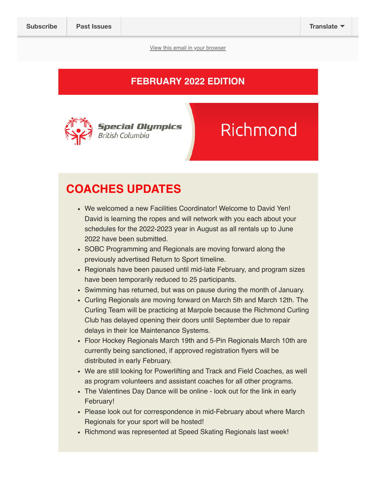View this email in your browser

#### FEBRUARY 2022 EDITION



# Richmond

### COACHES UPDATES

- We welcomed a new Facilities Coordinator! Welcome to David Yen! David is learning the ropes and will network with you each about your schedules for the 2022-2023 year in August as all rentals up to June 2022 have been submitted.
- SOBC Programming and Regionals are moving forward along the previously advertised Return to Sport timeline.
- Regionals have been paused until mid-late February, and program sizes have been temporarily reduced to 25 participants.
- Swimming has returned, but was on pause during the month of January.
- Curling Regionals are moving forward on March 5th and March 12th. The Curling Team will be practicing at Marpole because the Richmond Curling Club has delayed opening their doors until September due to repair delays in their Ice Maintenance Systems.
- Floor Hockey Regionals March 19th and 5-Pin Regionals March 10th are currently being sanctioned, if approved registration flyers will be distributed in early February.
- We are still looking for Powerlifting and Track and Field Coaches, as well as program volunteers and assistant coaches for all other programs.
- The Valentines Day Dance will be online look out for the link in early February!
- Please look out for correspondence in mid-February about where March Regionals for your sport will be hosted!
- Richmond was represented at Speed Skating Regionals last week!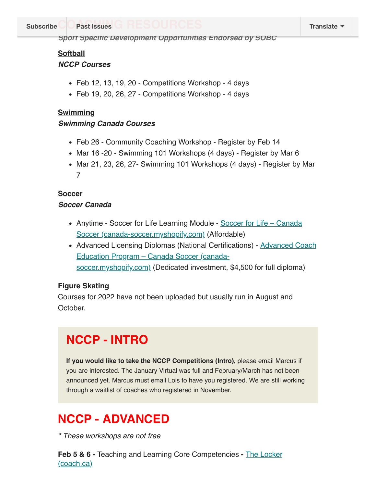Subscribe Past Issues TRESUURUES And Account the Translate

Sport Specific Development Opportunities Endorsed by SOBC

#### **Softball**

#### NCCP Courses

- Feb 12, 13, 19, 20 Competitions Workshop 4 days
- Feb 19, 20, 26, 27 Competitions Workshop 4 days

#### **Swimming**

#### Swimming Canada Courses

- Feb 26 Community Coaching Workshop Register by Feb 14
- Mar 16 -20 Swimming 101 Workshops (4 days) Register by Mar 6
- Mar 21, 23, 26, 27- Swimming 101 Workshops (4 days) Register by Mar 7

#### **Soccer**

#### Soccer Canada

- Anytime Soccer for Life Learning Module Soccer for Life Canada Soccer (canada-soccer.myshopify.com) (Affordable)
- Advanced Licensing Diplomas (National Certifications) **Advanced Coach** Education Program – Canada Soccer (canadasoccer.myshopify.com) (Dedicated investment, \$4,500 for full diploma)

#### **Figure Skating**

Courses for 2022 have not been uploaded but usually run in August and October.

### NCCP - INTRO

If you would like to take the NCCP Competitions (Intro), please email Marcus if you are interested. The January Virtual was full and February/March has not been announced yet. Marcus must email Lois to have you registered. We are still working through a waitlist of coaches who registered in November.

## NCCP - ADVANCED

\* These workshops are not free

Feb 5 & 6 - Teaching and Learning Core Competencies - The Locker (coach.ca)